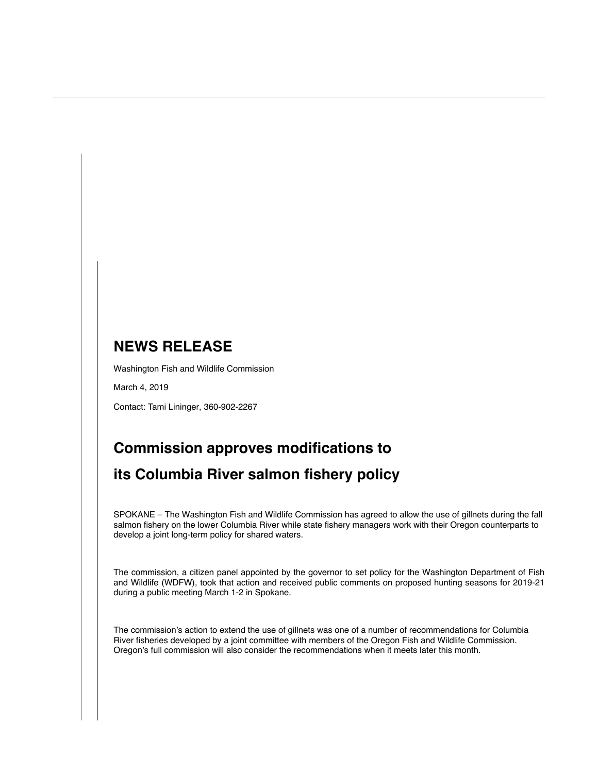## **NEWS RELEASE**

Washington Fish and Wildlife Commission

March 4, 2019

Contact: Tami Lininger, 360-902-2267

## **Commission approves modifications to its Columbia River salmon fishery policy**

SPOKANE – The Washington Fish and Wildlife Commission has agreed to allow the use of gillnets during the fall salmon fishery on the lower Columbia River while state fishery managers work with their Oregon counterparts to develop a joint long-term policy for shared waters.

The commission, a citizen panel appointed by the governor to set policy for the Washington Department of Fish and Wildlife (WDFW), took that action and received public comments on proposed hunting seasons for 2019-21 during a public meeting March 1-2 in Spokane.

The commission's action to extend the use of gillnets was one of a number of recommendations for Columbia River fisheries developed by a joint committee with members of the Oregon Fish and Wildlife Commission. Oregon's full commission will also consider the recommendations when it meets later this month.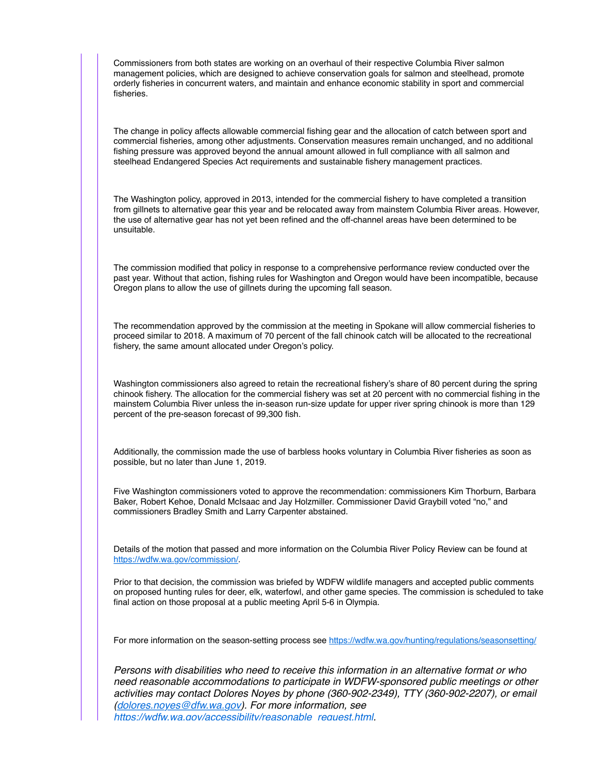Commissioners from both states are working on an overhaul of their respective Columbia River salmon management policies, which are designed to achieve conservation goals for salmon and steelhead, promote orderly fisheries in concurrent waters, and maintain and enhance economic stability in sport and commercial fisheries.

The change in policy affects allowable commercial fishing gear and the allocation of catch between sport and commercial fisheries, among other adjustments. Conservation measures remain unchanged, and no additional fishing pressure was approved beyond the annual amount allowed in full compliance with all salmon and steelhead Endangered Species Act requirements and sustainable fishery management practices.

The Washington policy, approved in 2013, intended for the commercial fishery to have completed a transition from gillnets to alternative gear this year and be relocated away from mainstem Columbia River areas. However, the use of alternative gear has not yet been refined and the off-channel areas have been determined to be unsuitable.

The commission modified that policy in response to a comprehensive performance review conducted over the past year. Without that action, fishing rules for Washington and Oregon would have been incompatible, because Oregon plans to allow the use of gillnets during the upcoming fall season.

The recommendation approved by the commission at the meeting in Spokane will allow commercial fisheries to proceed similar to 2018. A maximum of 70 percent of the fall chinook catch will be allocated to the recreational fishery, the same amount allocated under Oregon's policy.

Washington commissioners also agreed to retain the recreational fishery's share of 80 percent during the spring chinook fishery. The allocation for the commercial fishery was set at 20 percent with no commercial fishing in the mainstem Columbia River unless the in-season run-size update for upper river spring chinook is more than 129 percent of the pre-season forecast of 99,300 fish.

Additionally, the commission made the use of barbless hooks voluntary in Columbia River fisheries as soon as possible, but no later than June 1, 2019.

Five Washington commissioners voted to approve the recommendation: commissioners Kim Thorburn, Barbara Baker, Robert Kehoe, Donald McIsaac and Jay Holzmiller. Commissioner David Graybill voted "no," and commissioners Bradley Smith and Larry Carpenter abstained.

Details of the motion that passed and more information on the Columbia River Policy Review can be found at <https://wdfw.wa.gov/commission/>.

Prior to that decision, the commission was briefed by WDFW wildlife managers and accepted public comments on proposed hunting rules for deer, elk, waterfowl, and other game species. The commission is scheduled to take final action on those proposal at a public meeting April 5-6 in Olympia.

For more information on the season-setting process see [https://wdfw.wa.gov/hunting/regulations/seasonsetting/](http://ec2-52-26-194-35.us-west-2.compute.amazonaws.com/x/d?c=3717363&l=05f48b6e-1569-4408-bdb6-3e2692872e5b&r=021a9158-0ef9-4b83-86bf-cf5d112219b9)

*Persons with disabilities who need to receive this information in an alternative format or who need reasonable accommodations to participate in WDFW-sponsored public meetings or other activities may contact Dolores Noyes by phone (360-902-2349), TTY (360-902-2207), or email ([dolores.noyes@dfw.wa.gov\)](mailto:dolores.noyes@dfw.wa.gov). For more information, see [https://wdfw.wa.gov/accessibility/reasonable\\_request.html](https://wdfw.wa.gov/accessibility/reasonable_request.html).*